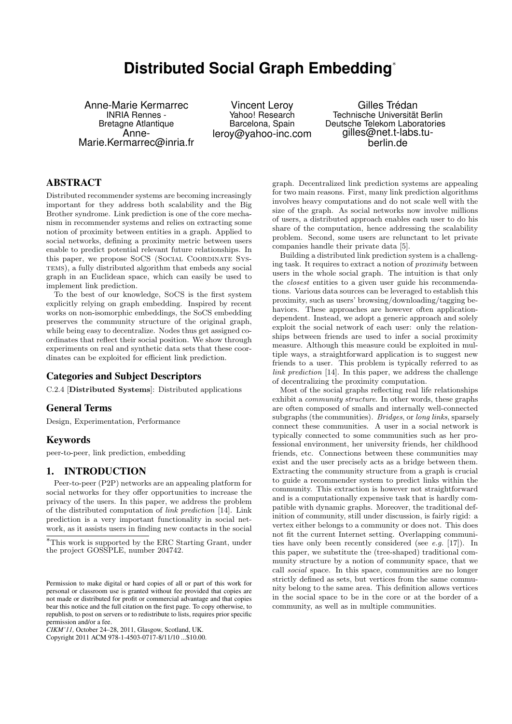# **Distributed Social Graph Embedding**<sup>∗</sup>

Anne-Marie Kermarrec INRIA Rennes - Bretagne Atlantique Anne-Marie.Kermarrec@inria.fr

Vincent Leroy Yahoo! Research Barcelona, Spain leroy@yahoo-inc.com

Gilles Trédan Technische Universität Berlin Deutsche Telekom Laboratories gilles@net.t-labs.tuberlin.de

# ABSTRACT

Distributed recommender systems are becoming increasingly important for they address both scalability and the Big Brother syndrome. Link prediction is one of the core mechanism in recommender systems and relies on extracting some notion of proximity between entities in a graph. Applied to social networks, defining a proximity metric between users enable to predict potential relevant future relationships. In this paper, we propose SoCS (Social Coordinate Systems), a fully distributed algorithm that embeds any social graph in an Euclidean space, which can easily be used to implement link prediction.

To the best of our knowledge, SoCS is the first system explicitly relying on graph embedding. Inspired by recent works on non-isomorphic embeddings, the SoCS embedding preserves the community structure of the original graph, while being easy to decentralize. Nodes thus get assigned coordinates that reflect their social position. We show through experiments on real and synthetic data sets that these coordinates can be exploited for efficient link prediction.

## Categories and Subject Descriptors

C.2.4 [Distributed Systems]: Distributed applications

#### General Terms

Design, Experimentation, Performance

## **Keywords**

peer-to-peer, link prediction, embedding

## 1. INTRODUCTION

Peer-to-peer (P2P) networks are an appealing platform for social networks for they offer opportunities to increase the privacy of the users. In this paper, we address the problem of the distributed computation of link prediction [14]. Link prediction is a very important functionality in social network, as it assists users in finding new contacts in the social

*CIKM'11,* October 24–28, 2011, Glasgow, Scotland, UK.

Copyright 2011 ACM 978-1-4503-0717-8/11/10 ...\$10.00.

graph. Decentralized link prediction systems are appealing for two main reasons. First, many link prediction algorithms involves heavy computations and do not scale well with the size of the graph. As social networks now involve millions of users, a distributed approach enables each user to do his share of the computation, hence addressing the scalability problem. Second, some users are relunctant to let private companies handle their private data [5].

Building a distributed link prediction system is a challenging task. It requires to extract a notion of proximity between users in the whole social graph. The intuition is that only the closest entities to a given user guide his recommendations. Various data sources can be leveraged to establish this proximity, such as users' browsing/downloading/tagging behaviors. These approaches are however often applicationdependent. Instead, we adopt a generic approach and solely exploit the social network of each user: only the relationships between friends are used to infer a social proximity measure. Although this measure could be exploited in multiple ways, a straightforward application is to suggest new friends to a user. This problem is typically referred to as link prediction [14]. In this paper, we address the challenge of decentralizing the proximity computation.

Most of the social graphs reflecting real life relationships exhibit a community structure. In other words, these graphs are often composed of smalls and internally well-connected subgraphs (the communities). Bridges, or long links, sparsely connect these communities. A user in a social network is typically connected to some communities such as her professional environment, her university friends, her childhood friends, etc. Connections between these communities may exist and the user precisely acts as a bridge between them. Extracting the community structure from a graph is crucial to guide a recommender system to predict links within the community. This extraction is however not straightforward and is a computationally expensive task that is hardly compatible with dynamic graphs. Moreover, the traditional definition of community, still under discussion, is fairly rigid: a vertex either belongs to a community or does not. This does not fit the current Internet setting. Overlapping communities have only been recently considered (see e.g. [17]). In this paper, we substitute the (tree-shaped) traditional community structure by a notion of community space, that we call social space. In this space, communities are no longer strictly defined as sets, but vertices from the same community belong to the same area. This definition allows vertices in the social space to be in the core or at the border of a community, as well as in multiple communities.

<sup>∗</sup>This work is supported by the ERC Starting Grant, under the project GOSSPLE, number 204742.

Permission to make digital or hard copies of all or part of this work for personal or classroom use is granted without fee provided that copies are not made or distributed for profit or commercial advantage and that copies bear this notice and the full citation on the first page. To copy otherwise, to republish, to post on servers or to redistribute to lists, requires prior specific permission and/or a fee.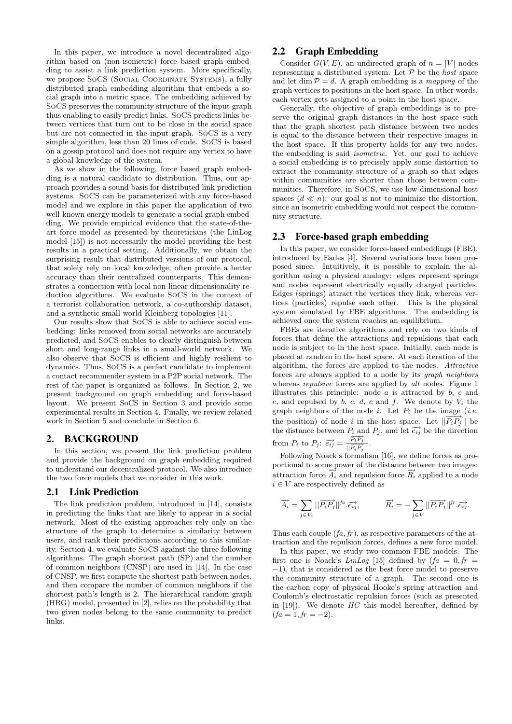In this paper, we introduce a novel decentralized algorithm based on (non-isometric) force based graph embedding to assist a link prediction system. More specifically, we propose SoCS (Social Coordinate Systems), a fully distributed graph embedding algorithm that embeds a social graph into a metric space. The embedding achieved by SoCS preserves the community structure of the input graph thus enabling to easily predict links. SoCS predicts links between vertices that turn out to be close in the social space but are not connected in the input graph. SoCS is a very simple algorithm, less than 20 lines of code. SoCS is based on a gossip protocol and does not require any vertex to have a global knowledge of the system.

As we show in the following, force based graph embedding is a natural candidate to distribution. Thus, our approach provides a sound basis for distributed link prediction systems. SoCS can be parameterized with any force-based model and we explore in this paper the application of two well-known energy models to generate a social graph embedding. We provide empirical evidence that the state-of-theart force model as presented by theoreticians (the LinLog model [15]) is not necessarily the model providing the best results in a practical setting. Additionally, we obtain the surprising result that distributed versions of our protocol, that solely rely on local knowledge, often provide a better accuracy than their centralized counterparts. This demonstrates a connection with local non-linear dimensionality reduction algorithms. We evaluate SoCS in the context of a terrorist collaboration network, a co-authorship dataset, and a synthetic small-world Kleinberg topologies [11].

Our results show that SoCS is able to achieve social embedding: links removed from social networks are accurately predicted, and SoCS enables to clearly distinguish between short and long-range links in a small-world network. We also observe that SoCS is efficient and highly resilient to dynamics. Thus, SoCS is a perfect candidate to implement a contact recommender system in a P2P social network. The rest of the paper is organized as follows. In Section 2, we present background on graph embedding and force-based layout. We present SoCS in Section 3 and provide some experimental results in Section 4. Finally, we review related work in Section 5 and conclude in Section 6.

#### 2. BACKGROUND

In this section, we present the link prediction problem and provide the background on graph embedding required to understand our decentralized protocol. We also introduce the two force models that we consider in this work.

#### 2.1 Link Prediction

The link prediction problem, introduced in [14], consists in predicting the links that are likely to appear in a social network. Most of the existing approaches rely only on the structure of the graph to determine a similarity between users, and rank their predictions according to this similarity. Section 4, we evaluate SoCS against the three following algorithms. The graph shortest path (SP) and the number of common neighbors (CNSP) are used in [14]. In the case of CNSP, we first compute the shortest path between nodes, and then compare the number of common neighbors if the shortest path's length is 2. The hierarchical random graph (HRG) model, presented in [2], relies on the probability that two given nodes belong to the same community to predict links.

## 2.2 Graph Embedding

Consider  $G(V, E)$ , an undirected graph of  $n = |V|$  nodes representing a distributed system. Let  $\mathcal P$  be the *host* space and let dim  $P = d$ . A graph embedding is a mapping of the graph vertices to positions in the host space. In other words, each vertex gets assigned to a point in the host space.

Generally, the objective of graph embeddings is to preserve the original graph distances in the host space such that the graph shortest path distance between two nodes is equal to the distance between their respective images in the host space. If this property holds for any two nodes, the embedding is said isometric. Yet, our goal to achieve a social embedding is to precisely apply some distortion to extract the community structure of a graph so that edges within communities are shorter than those between communities. Therefore, in SoCS, we use low-dimensional host spaces  $(d \ll n)$ : our goal is not to minimize the distortion, since an isometric embedding would not respect the community structure.

#### 2.3 Force-based graph embedding

In this paper, we consider force-based embeddings (FBE), introduced by Eades [4]. Several variations have been proposed since. Intuitively, it is possible to explain the algorithm using a physical analogy: edges represent springs and nodes represent electrically equally charged particles. Edges (springs) attract the vertices they link, whereas vertices (particles) repulse each other. This is the physical system simulated by FBE algorithms. The embedding is achieved once the system reaches an equilibrium.

FBEs are iterative algorithms and rely on two kinds of forces that define the attractions and repulsions that each node is subject to in the host space. Initially, each node is placed at random in the host space. At each iteration of the algorithm, the forces are applied to the nodes. Attractive forces are always applied to a node by its graph neighbors whereas *repulsive* forces are applied by *all* nodes. Figure 1 illustrates this principle: node  $a$  is attracted by  $b$ ,  $c$  and e, and repulsed by  $b, c, d, e$  and f. We denote by  $V_i$  the graph neighbors of the node i. Let  $P_i$  be the image (i.e. the position) of node i in the host space. Let  $||P_iP_j||$  be the distance between  $P_i$  and  $P_j$ , and let  $\overrightarrow{e_{ij}}$  be the direction from  $P_i$  to  $P_j$ :  $\overrightarrow{e_{ij}} = \frac{\overrightarrow{P_i P_j}}{\sqrt{P_i P_j}}$  $\frac{r_i r_j}{\left\lvert\left\lvert \overrightarrow{P_i P_j} \right\rvert\right\rvert}.$ 

Following Noack's formalism [16], we define forces as proportional to some power of the distance between two images: attraction force  $\overrightarrow{A}_i$  and repulsion force  $\overrightarrow{R}_i$  applied to a node  $i \in V$  are respectively defined as

$$
\overrightarrow{A}_i = \sum_{j \in V_i} ||\overrightarrow{P_i P_j}||^{fa} \cdot \overrightarrow{e_{ij}}, \qquad \overrightarrow{R}_i = -\sum_{j \in V} ||\overrightarrow{P_i P_j}||^{fr} \cdot \overrightarrow{e_{ij}}.
$$

Thus each couple  $(f_a, fr)$ , as respective parameters of the attraction and the repulsion forces, defines a new force model.

In this paper, we study two common FBE models. The first one is Noack's LinLog [15] defined by  $fa = 0, fr =$ −1), that is considered as the best force model to preserve the community structure of a graph. The second one is the carbon copy of physical Hooke's spring attraction and Coulomb's electrostatic repulsion forces (such as presented in  $[19]$ ). We denote  $HC$  this model hereafter, defined by  $(fa = 1, fr = -2).$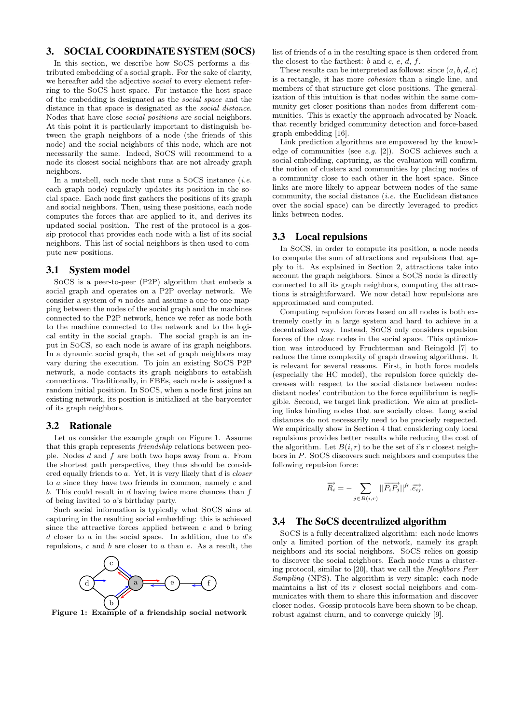# 3. SOCIAL COORDINATE SYSTEM (SOCS)

In this section, we describe how SoCS performs a distributed embedding of a social graph. For the sake of clarity, we hereafter add the adjective social to every element referring to the SoCS host space. For instance the host space of the embedding is designated as the social space and the distance in that space is designated as the social distance. Nodes that have close social positions are social neighbors. At this point it is particularly important to distinguish between the graph neighbors of a node (the friends of this node) and the social neighbors of this node, which are not necessarily the same. Indeed, SoCS will recommend to a node its closest social neighbors that are not already graph neighbors.

In a nutshell, each node that runs a SoCS instance  $(i.e.$ each graph node) regularly updates its position in the social space. Each node first gathers the positions of its graph and social neighbors. Then, using these positions, each node computes the forces that are applied to it, and derives its updated social position. The rest of the protocol is a gossip protocol that provides each node with a list of its social neighbors. This list of social neighbors is then used to compute new positions.

#### 3.1 System model

SoCS is a peer-to-peer (P2P) algorithm that embeds a social graph and operates on a P2P overlay network. We consider a system of  $n$  nodes and assume a one-to-one mapping between the nodes of the social graph and the machines connected to the P2P network, hence we refer as node both to the machine connected to the network and to the logical entity in the social graph. The social graph is an input in SoCS, so each node is aware of its graph neighbors. In a dynamic social graph, the set of graph neighbors may vary during the execution. To join an existing SoCS P2P network, a node contacts its graph neighbors to establish connections. Traditionally, in FBEs, each node is assigned a random initial position. In SoCS, when a node first joins an existing network, its position is initialized at the barycenter of its graph neighbors.

#### 3.2 Rationale

Let us consider the example graph on Figure 1. Assume that this graph represents friendship relations between people. Nodes  $d$  and  $f$  are both two hops away from  $a$ . From the shortest path perspective, they thus should be considered equally friends to a. Yet, it is very likely that d is closer to a since they have two friends in common, namely c and b. This could result in  $d$  having twice more chances than  $f$ of being invited to a's birthday party.

Such social information is typically what SoCS aims at capturing in the resulting social embedding: this is achieved since the attractive forces applied between  $c$  and  $b$  bring  $d$  closer to  $a$  in the social space. In addition, due to  $d$ 's repulsions,  $c$  and  $b$  are closer to  $a$  than  $e$ . As a result, the



Figure 1: Example of a friendship social network

list of friends of a in the resulting space is then ordered from the closest to the farthest:  $b$  and  $c, e, d, f$ .

These results can be interpreted as follows: since  $(a, b, d, c)$ is a rectangle, it has more cohesion than a single line, and members of that structure get close positions. The generalization of this intuition is that nodes within the same community get closer positions than nodes from different communities. This is exactly the approach advocated by Noack, that recently bridged community detection and force-based graph embedding [16].

Link prediction algorithms are empowered by the knowledge of communities (see e.g. [2]). SoCS achieves such a social embedding, capturing, as the evaluation will confirm, the notion of clusters and communities by placing nodes of a community close to each other in the host space. Since links are more likely to appear between nodes of the same community, the social distance (i.e. the Euclidean distance over the social space) can be directly leveraged to predict links between nodes.

#### 3.3 Local repulsions

In SoCS, in order to compute its position, a node needs to compute the sum of attractions and repulsions that apply to it. As explained in Section 2, attractions take into account the graph neighbors. Since a SoCS node is directly connected to all its graph neighbors, computing the attractions is straightforward. We now detail how repulsions are approximated and computed.

Computing repulsion forces based on all nodes is both extremely costly in a large system and hard to achieve in a decentralized way. Instead, SoCS only considers repulsion forces of the close nodes in the social space. This optimization was introduced by Fruchterman and Reingold [7] to reduce the time complexity of graph drawing algorithms. It is relevant for several reasons. First, in both force models (especially the HC model), the repulsion force quickly decreases with respect to the social distance between nodes: distant nodes' contribution to the force equilibrium is negligible. Second, we target link prediction. We aim at predicting links binding nodes that are socially close. Long social distances do not necessarily need to be precisely respected. We empirically show in Section 4 that considering only local repulsions provides better results while reducing the cost of the algorithm. Let  $B(i, r)$  to be the set of i's r closest neighbors in P. SoCS discovers such neighbors and computes the following repulsion force:

$$
\overrightarrow{R_i} = -\sum_{j \in B(i,r)} ||\overrightarrow{P_i P_j}||^{fr} . \overrightarrow{e_{ij}}.
$$

#### 3.4 The SoCS decentralized algorithm

SoCS is a fully decentralized algorithm: each node knows only a limited portion of the network, namely its graph neighbors and its social neighbors. SoCS relies on gossip to discover the social neighbors. Each node runs a clustering protocol, similar to [20], that we call the Neighbors Peer Sampling (NPS). The algorithm is very simple: each node maintains a list of its  $r$  closest social neighbors and communicates with them to share this information and discover closer nodes. Gossip protocols have been shown to be cheap, robust against churn, and to converge quickly [9].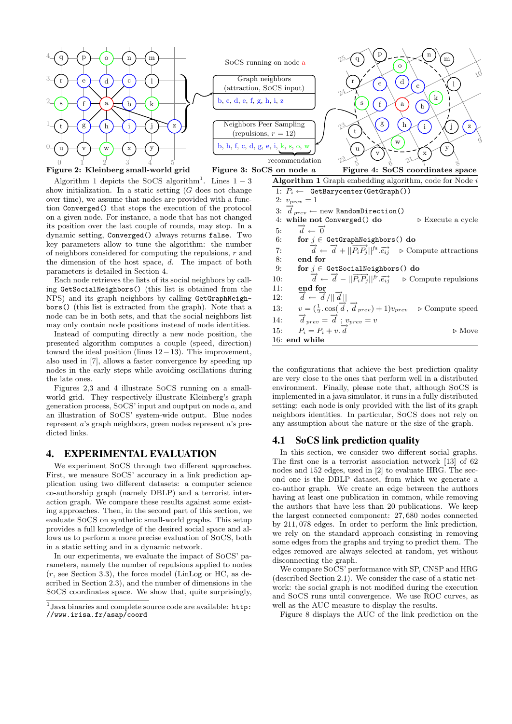

#### Figure 2: Kleinberg small-world grid

Algorithm 1 depicts the SoCS algorithm<sup>1</sup>. Lines  $1-3$ show initialization. In a static setting  $(G$  does not change over time), we assume that nodes are provided with a function Converged() that stops the execution of the protocol on a given node. For instance, a node that has not changed its position over the last couple of rounds, may stop. In a dynamic setting, Converged() always returns false. Two key parameters allow to tune the algorithm: the number of neighbors considered for computing the repulsions,  $r$  and the dimension of the host space, d. The impact of both parameters is detailed in Section 4.

Each node retrieves the lists of its social neighbors by calling GetSocialNeighbors() (this list is obtained from the NPS) and its graph neighbors by calling GetGraphNeighbors() (this list is extracted from the graph). Note that a node can be in both sets, and that the social neighbors list may only contain node positions instead of node identities.

Instead of computing directly a new node position, the presented algorithm computes a couple (speed, direction) toward the ideal position (lines  $12-13$ ). This improvement, also used in [7], allows a faster convergence by speeding up nodes in the early steps while avoiding oscillations during the late ones.

Figures 2,3 and 4 illustrate SoCS running on a smallworld grid. They respectively illustrate Kleinberg's graph generation process, SoCS' input and ouptput on node a, and an illustration of SoCS' system-wide output. Blue nodes represent a's graph neighbors, green nodes represent a's predicted links.

#### 4. EXPERIMENTAL EVALUATION

We experiment SoCS through two different approaches. First, we measure SoCS' accuracy in a link prediction application using two different datasets: a computer science co-authorship graph (namely DBLP) and a terrorist interaction graph. We compare these results against some existing approaches. Then, in the second part of this section, we evaluate SoCS on synthetic small-world graphs. This setup provides a full knowledge of the desired social space and allows us to perform a more precise evaluation of SoCS, both in a static setting and in a dynamic network.

In our experiments, we evaluate the impact of SoCS' parameters, namely the number of repulsions applied to nodes  $(r, \text{ see Section 3.3})$ , the force model (LinLog or HC, as described in Section 2.3), and the number of dimensions in the SoCS coordinates space. We show that, quite surprisingly,



| ${\bf S}$ on node $a$<br>Figure 4: SoCS coordinates space                                                                       |                       |
|---------------------------------------------------------------------------------------------------------------------------------|-----------------------|
| <b>Algorithm 1</b> Graph embedding algorithm, code for Node $i$                                                                 |                       |
| 1: $P_i \leftarrow$ GetBarycenter(GetGraph())                                                                                   |                       |
| 2: $v_{prev} = 1$                                                                                                               |                       |
| 3: $\overline{d}_{prev} \leftarrow \text{new RandomDirection()}$                                                                |                       |
| 4: while not Converged() do<br>$\triangleright$ Execute a cycle                                                                 |                       |
| $\vec{d} \leftarrow \vec{0}$<br>5:                                                                                              |                       |
| 6:<br>for $j \in$ GetGraphNeighbors() do                                                                                        |                       |
| $\vec{d} \leftarrow \vec{d} +   \vec{P_i}\vec{P_i}  ^{fa} \cdot \vec{e_i}$ $\triangleright$ Compute attractions<br>7:           |                       |
| 8:<br>end for                                                                                                                   |                       |
| 9:<br>for $j \in$ GetSocialNeighbors() do                                                                                       |                       |
| $\vec{d} \leftarrow \vec{d} -   \vec{P_i} \vec{P_j}  ^{fr} \cdot \vec{e_i}$ $\triangleright$ Compute repulsions<br>10:          |                       |
| 11:<br>end for                                                                                                                  |                       |
| $\overrightarrow{d} \leftarrow \overrightarrow{d}/\ \overrightarrow{d}\ $<br>12:                                                |                       |
| $v = (\frac{1}{2} \cdot \cos(\overrightarrow{d}, \overrightarrow{d}_{prev}) + 1)v_{prev}$ $\triangleright$ Compute speed<br>13: |                       |
| $\overrightarrow{d}_{prev} = \overrightarrow{d}$ ; $v_{prev} = v$<br>14:                                                        |                       |
| $P_i = P_i + v \cdot \overrightarrow{d}$<br>15:                                                                                 | $\triangleright$ Move |
| 16: end while                                                                                                                   |                       |

the configurations that achieve the best prediction quality are very close to the ones that perform well in a distributed environment. Finally, please note that, although SoCS is implemented in a java simulator, it runs in a fully distributed setting: each node is only provided with the list of its graph neighbors identities. In particular, SoCS does not rely on any assumption about the nature or the size of the graph.

#### 4.1 SoCS link prediction quality

In this section, we consider two different social graphs. The first one is a terrorist association network [13] of 62 nodes and 152 edges, used in [2] to evaluate HRG. The second one is the DBLP dataset, from which we generate a co-author graph. We create an edge between the authors having at least one publication in common, while removing the authors that have less than 20 publications. We keep the largest connected component: 27, 680 nodes connected by 211, 078 edges. In order to perform the link prediction, we rely on the standard approach consisting in removing some edges from the graphs and trying to predict them. The edges removed are always selected at random, yet without disconnecting the graph.

We compare SoCS' performance with SP, CNSP and HRG (described Section 2.1). We consider the case of a static network: the social graph is not modified during the execution and SoCS runs until convergence. We use ROC curves, as well as the AUC measure to display the results.

Figure 8 displays the AUC of the link prediction on the

<sup>&</sup>lt;sup>1</sup> Java binaries and complete source code are available: http: //www.irisa.fr/asap/coord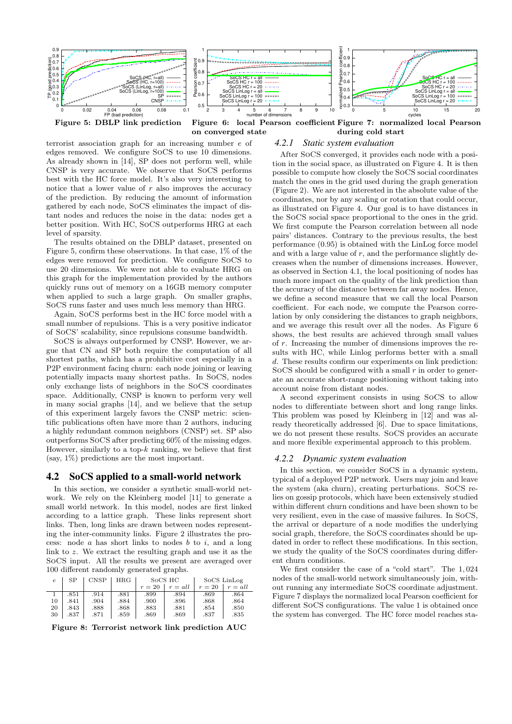

terrorist association graph for an increasing number e of edges removed. We configure SoCS to use 10 dimensions. As already shown in [14], SP does not perform well, while CNSP is very accurate. We observe that SoCS performs best with the HC force model. It's also very interesting to notice that a lower value of  $r$  also improves the accuracy of the prediction. By reducing the amount of information gathered by each node, SoCS eliminates the impact of distant nodes and reduces the noise in the data: nodes get a better position. With HC, SoCS outperforms HRG at each level of sparsity.

The results obtained on the DBLP dataset, presented on Figure 5, confirm these observations. In that case, 1% of the edges were removed for prediction. We configure SoCS to use 20 dimensions. We were not able to evaluate HRG on this graph for the implementation provided by the authors quickly runs out of memory on a 16GB memory computer when applied to such a large graph. On smaller graphs, SoCS runs faster and uses much less memory than HRG.

Again, SoCS performs best in the HC force model with a small number of repulsions. This is a very positive indicator of SoCS' scalability, since repulsions consume bandwidth.

SoCS is always outperformed by CNSP. However, we argue that CN and SP both require the computation of all shortest paths, which has a prohibitive cost especially in a P2P environment facing churn: each node joining or leaving potentially impacts many shortest paths. In SoCS, nodes only exchange lists of neighbors in the SoCS coordinates space. Additionally, CNSP is known to perform very well in many social graphs [14], and we believe that the setup of this experiment largely favors the CNSP metric: scientific publications often have more than 2 authors, inducing a highly redundant common neighbors (CNSP) set. SP also outperforms SoCS after predicting 60% of the missing edges. However, similarly to a top- $k$  ranking, we believe that first (say, 1%) predictions are the most important.

#### 4.2 SoCS applied to a small-world network

In this section, we consider a synthetic small-world network. We rely on the Kleinberg model [11] to generate a small world network. In this model, nodes are first linked according to a lattice graph. These links represent short links. Then, long links are drawn between nodes representing the inter-community links. Figure 2 illustrates the process: node  $a$  has short links to nodes  $b$  to  $i$ , and a long link to z. We extract the resulting graph and use it as the SoCS input. All the results we present are averaged over 100 different randomly generated graphs.

| $\epsilon$ | SP   | CNSP | $_{\rm HRG}$ | SOCS HC |           | SoCS LinLog |           |
|------------|------|------|--------------|---------|-----------|-------------|-----------|
|            |      |      |              | $r=20$  | $r = all$ | $r=20$      | $r = all$ |
|            | .851 | .914 | .881         | .899    | .894      | .869        | .864      |
| 10         | .841 | .904 | .884         | .900    | .896      | .868        | .864      |
| 20         | .843 | .888 | .868         | .883    | .881      | .854        | .850      |
| 30         | .837 | .871 | .859         | .869    | .869      | .837        | .835      |

Figure 8: Terrorist network link prediction AUC

## *4.2.1 Static system evaluation*

After SoCS converged, it provides each node with a position in the social space, as illustrated on Figure 4. It is then possible to compute how closely the SoCS social coordinates match the ones in the grid used during the graph generation (Figure 2). We are not interested in the absolute value of the coordinates, nor by any scaling or rotation that could occur, as illustrated on Figure 4. Our goal is to have distances in the SoCS social space proportional to the ones in the grid. We first compute the Pearson correlation between all node pairs' distances. Contrary to the previous results, the best performance (0.95) is obtained with the LinLog force model and with a large value of  $r$ , and the performance slightly decreases when the number of dimensions increases. However, as observed in Section 4.1, the local positioning of nodes has much more impact on the quality of the link prediction than the accuracy of the distance between far away nodes. Hence, we define a second measure that we call the local Pearson coefficient. For each node, we compute the Pearson correlation by only considering the distances to graph neighbors, and we average this result over all the nodes. As Figure 6 shows, the best results are achieved through small values of r. Increasing the number of dimensions improves the results with HC, while Linlog performs better with a small d. These results confirm our experiments on link prediction: SoCS should be configured with a small  $r$  in order to generate an accurate short-range positioning without taking into account noise from distant nodes.

A second experiment consists in using SoCS to allow nodes to differentiate between short and long range links. This problem was posed by Kleinberg in [12] and was already theoretically addressed [6]. Due to space limitations, we do not present these results. SoCS provides an accurate and more flexible experimental approach to this problem.

#### *4.2.2 Dynamic system evaluation*

In this section, we consider SoCS in a dynamic system, typical of a deployed P2P network. Users may join and leave the system (aka churn), creating perturbations. SoCS relies on gossip protocols, which have been extensively studied within different churn conditions and have been shown to be very resilient, even in the case of massive failures. In SoCS, the arrival or departure of a node modifies the underlying social graph, therefore, the SoCS coordinates should be updated in order to reflect these modifications. In this section, we study the quality of the SoCS coordinates during different churn conditions.

We first consider the case of a "cold start". The 1, 024 nodes of the small-world network simultaneously join, without running any intermediate SoCS coordinate adjustment. Figure 7 displays the normalized local Pearson coefficient for different SoCS configurations. The value 1 is obtained once the system has converged. The HC force model reaches sta